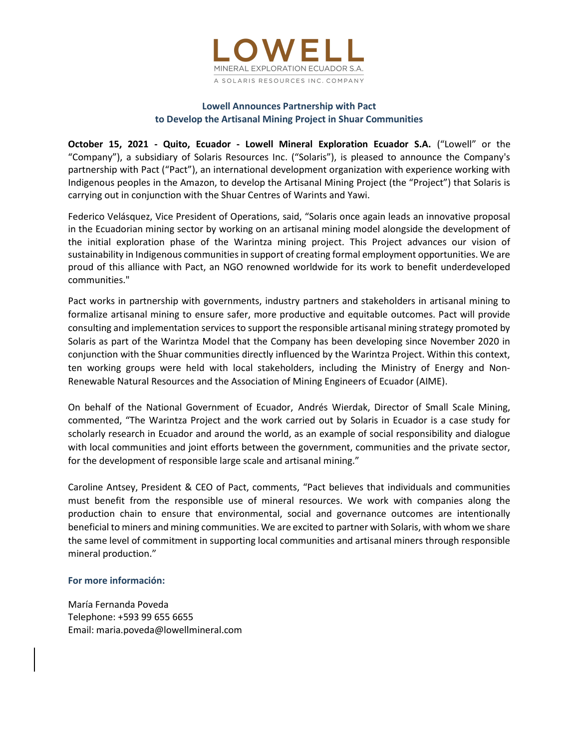

# Lowell Announces Partnership with Pact to Develop the Artisanal Mining Project in Shuar Communities

October 15, 2021 - Quito, Ecuador - Lowell Mineral Exploration Ecuador S.A. ("Lowell" or the "Company"), a subsidiary of Solaris Resources Inc. ("Solaris"), is pleased to announce the Company's partnership with Pact ("Pact"), an international development organization with experience working with Indigenous peoples in the Amazon, to develop the Artisanal Mining Project (the "Project") that Solaris is carrying out in conjunction with the Shuar Centres of Warints and Yawi.

Federico Velásquez, Vice President of Operations, said, "Solaris once again leads an innovative proposal in the Ecuadorian mining sector by working on an artisanal mining model alongside the development of the initial exploration phase of the Warintza mining project. This Project advances our vision of sustainability in Indigenous communities in support of creating formal employment opportunities. We are proud of this alliance with Pact, an NGO renowned worldwide for its work to benefit underdeveloped communities."

Pact works in partnership with governments, industry partners and stakeholders in artisanal mining to formalize artisanal mining to ensure safer, more productive and equitable outcomes. Pact will provide consulting and implementation services to support the responsible artisanal mining strategy promoted by Solaris as part of the Warintza Model that the Company has been developing since November 2020 in conjunction with the Shuar communities directly influenced by the Warintza Project. Within this context, ten working groups were held with local stakeholders, including the Ministry of Energy and Non-Renewable Natural Resources and the Association of Mining Engineers of Ecuador (AIME).

On behalf of the National Government of Ecuador, Andrés Wierdak, Director of Small Scale Mining, commented, "The Warintza Project and the work carried out by Solaris in Ecuador is a case study for scholarly research in Ecuador and around the world, as an example of social responsibility and dialogue with local communities and joint efforts between the government, communities and the private sector, for the development of responsible large scale and artisanal mining."

Caroline Antsey, President & CEO of Pact, comments, "Pact believes that individuals and communities must benefit from the responsible use of mineral resources. We work with companies along the production chain to ensure that environmental, social and governance outcomes are intentionally beneficial to miners and mining communities. We are excited to partner with Solaris, with whom we share the same level of commitment in supporting local communities and artisanal miners through responsible mineral production."

#### For more información:

María Fernanda Poveda Telephone: +593 99 655 6655 Email: maria.poveda@lowellmineral.com